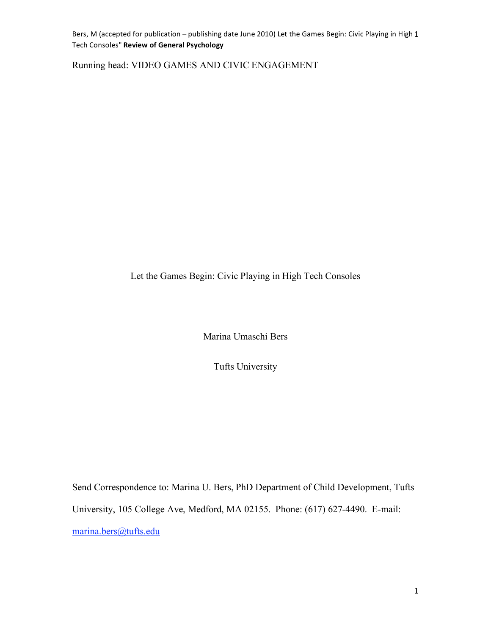Bers, M (accepted for publication – publishing date June 2010) Let the Games Begin: Civic Playing in High 1 Tech
Consoles" **Review
of
General
Psychology**

Running head: VIDEO GAMES AND CIVIC ENGAGEMENT

Let the Games Begin: Civic Playing in High Tech Consoles

Marina Umaschi Bers

Tufts University

Send Correspondence to: Marina U. Bers, PhD Department of Child Development, Tufts University, 105 College Ave, Medford, MA 02155. Phone: (617) 627-4490. E-mail: marina.bers@tufts.edu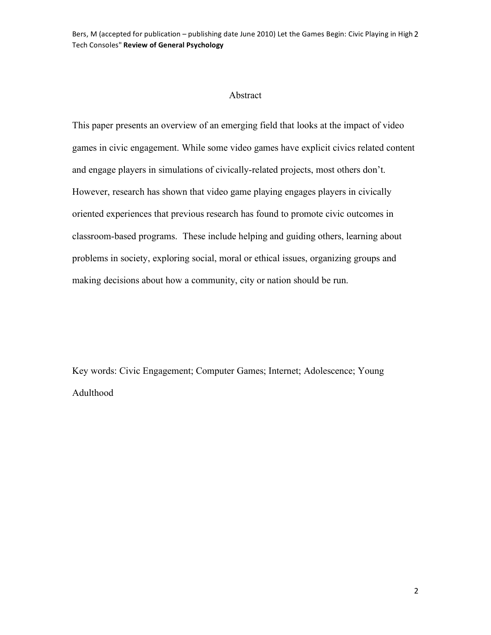Bers, M (accepted for publication – publishing date June 2010) Let the Games Begin: Civic Playing in High 2 Tech
Consoles" **Review
of
General
Psychology**

# Abstract

This paper presents an overview of an emerging field that looks at the impact of video games in civic engagement. While some video games have explicit civics related content and engage players in simulations of civically-related projects, most others don't. However, research has shown that video game playing engages players in civically oriented experiences that previous research has found to promote civic outcomes in classroom-based programs. These include helping and guiding others, learning about problems in society, exploring social, moral or ethical issues, organizing groups and making decisions about how a community, city or nation should be run.

Key words: Civic Engagement; Computer Games; Internet; Adolescence; Young Adulthood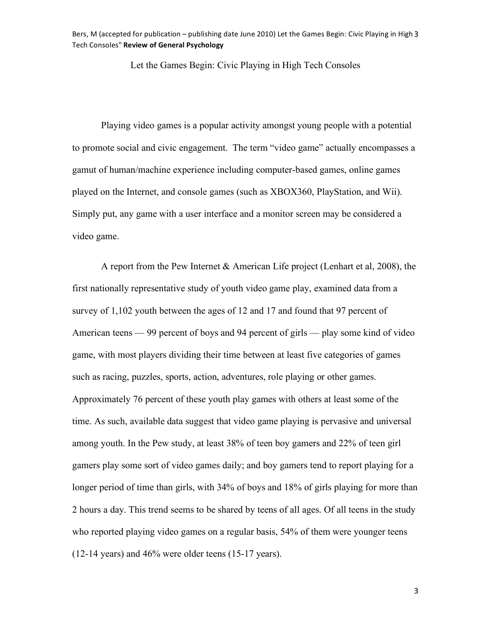Bers, M (accepted for publication – publishing date June 2010) Let the Games Begin: Civic Playing in High 3 Tech
Consoles" **Review
of
General
Psychology**

Let the Games Begin: Civic Playing in High Tech Consoles

Playing video games is a popular activity amongst young people with a potential to promote social and civic engagement. The term "video game" actually encompasses a gamut of human/machine experience including computer-based games, online games played on the Internet, and console games (such as XBOX360, PlayStation, and Wii). Simply put, any game with a user interface and a monitor screen may be considered a video game.

A report from the Pew Internet & American Life project (Lenhart et al, 2008), the first nationally representative study of youth video game play, examined data from a survey of 1,102 youth between the ages of 12 and 17 and found that 97 percent of American teens — 99 percent of boys and 94 percent of girls — play some kind of video game, with most players dividing their time between at least five categories of games such as racing, puzzles, sports, action, adventures, role playing or other games. Approximately 76 percent of these youth play games with others at least some of the time. As such, available data suggest that video game playing is pervasive and universal among youth. In the Pew study, at least 38% of teen boy gamers and 22% of teen girl gamers play some sort of video games daily; and boy gamers tend to report playing for a longer period of time than girls, with 34% of boys and 18% of girls playing for more than 2 hours a day. This trend seems to be shared by teens of all ages. Of all teens in the study who reported playing video games on a regular basis, 54% of them were younger teens (12-14 years) and 46% were older teens (15-17 years).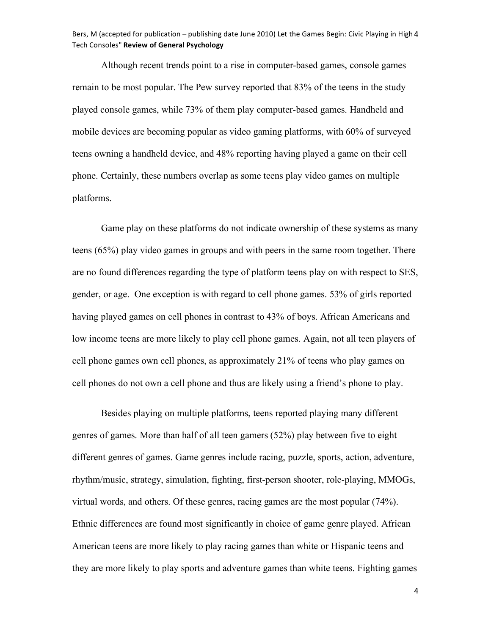Although recent trends point to a rise in computer-based games, console games remain to be most popular. The Pew survey reported that 83% of the teens in the study played console games, while 73% of them play computer-based games. Handheld and mobile devices are becoming popular as video gaming platforms, with 60% of surveyed teens owning a handheld device, and 48% reporting having played a game on their cell phone. Certainly, these numbers overlap as some teens play video games on multiple platforms.

Game play on these platforms do not indicate ownership of these systems as many teens (65%) play video games in groups and with peers in the same room together. There are no found differences regarding the type of platform teens play on with respect to SES, gender, or age. One exception is with regard to cell phone games. 53% of girls reported having played games on cell phones in contrast to 43% of boys. African Americans and low income teens are more likely to play cell phone games. Again, not all teen players of cell phone games own cell phones, as approximately 21% of teens who play games on cell phones do not own a cell phone and thus are likely using a friend's phone to play.

Besides playing on multiple platforms, teens reported playing many different genres of games. More than half of all teen gamers (52%) play between five to eight different genres of games. Game genres include racing, puzzle, sports, action, adventure, rhythm/music, strategy, simulation, fighting, first-person shooter, role-playing, MMOGs, virtual words, and others. Of these genres, racing games are the most popular (74%). Ethnic differences are found most significantly in choice of game genre played. African American teens are more likely to play racing games than white or Hispanic teens and they are more likely to play sports and adventure games than white teens. Fighting games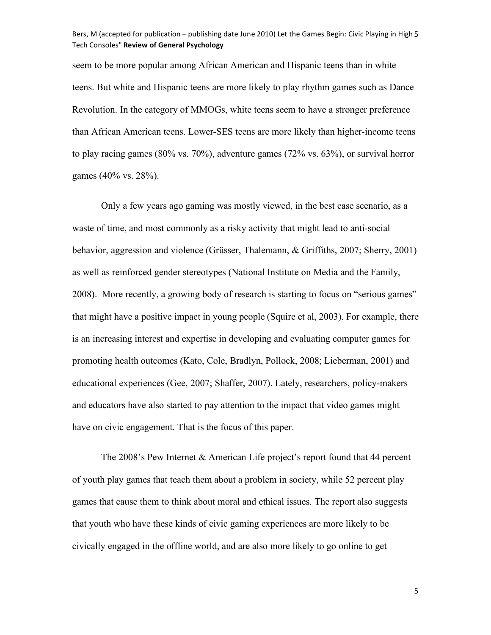#### Bers, M (accepted for publication – publishing date June 2010) Let the Games Begin: Civic Playing in High 5 Tech
Consoles" **Review
of
General
Psychology**

seem to be more popular among African American and Hispanic teens than in white teens. But white and Hispanic teens are more likely to play rhythm games such as Dance Revolution. In the category of MMOGs, white teens seem to have a stronger preference than African American teens. Lower-SES teens are more likely than higher-income teens to play racing games (80% vs. 70%), adventure games (72% vs. 63%), or survival horror games (40% vs. 28%).

Only a few years ago gaming was mostly viewed, in the best case scenario, as a waste of time, and most commonly as a risky activity that might lead to anti-social behavior, aggression and violence (Grüsser, Thalemann, & Griffiths, 2007; Sherry, 2001) as well as reinforced gender stereotypes (National Institute on Media and the Family, 2008). More recently, a growing body of research is starting to focus on "serious games" that might have a positive impact in young people (Squire et al, 2003). For example, there is an increasing interest and expertise in developing and evaluating computer games for promoting health outcomes (Kato, Cole, Bradlyn, Pollock, 2008; Lieberman, 2001) and educational experiences (Gee, 2007; Shaffer, 2007). Lately, researchers, policy-makers and educators have also started to pay attention to the impact that video games might have on civic engagement. That is the focus of this paper.

The 2008's Pew Internet & American Life project's report found that 44 percent of youth play games that teach them about a problem in society, while 52 percent play games that cause them to think about moral and ethical issues. The report also suggests that youth who have these kinds of civic gaming experiences are more likely to be civically engaged in the offline world, and are also more likely to go online to get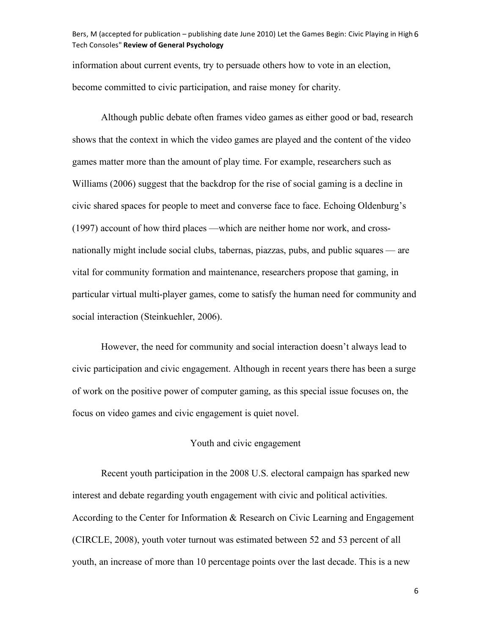## Bers, M (accepted for publication – publishing date June 2010) Let the Games Begin: Civic Playing in High 6 Tech
Consoles" **Review
of
General
Psychology**

information about current events, try to persuade others how to vote in an election, become committed to civic participation, and raise money for charity.

Although public debate often frames video games as either good or bad, research shows that the context in which the video games are played and the content of the video games matter more than the amount of play time. For example, researchers such as Williams (2006) suggest that the backdrop for the rise of social gaming is a decline in civic shared spaces for people to meet and converse face to face. Echoing Oldenburg's (1997) account of how third places —which are neither home nor work, and crossnationally might include social clubs, tabernas, piazzas, pubs, and public squares — are vital for community formation and maintenance, researchers propose that gaming, in particular virtual multi-player games, come to satisfy the human need for community and social interaction (Steinkuehler, 2006).

However, the need for community and social interaction doesn't always lead to civic participation and civic engagement. Although in recent years there has been a surge of work on the positive power of computer gaming, as this special issue focuses on, the focus on video games and civic engagement is quiet novel.

## Youth and civic engagement

Recent youth participation in the 2008 U.S. electoral campaign has sparked new interest and debate regarding youth engagement with civic and political activities. According to the Center for Information & Research on Civic Learning and Engagement (CIRCLE, 2008), youth voter turnout was estimated between 52 and 53 percent of all youth, an increase of more than 10 percentage points over the last decade. This is a new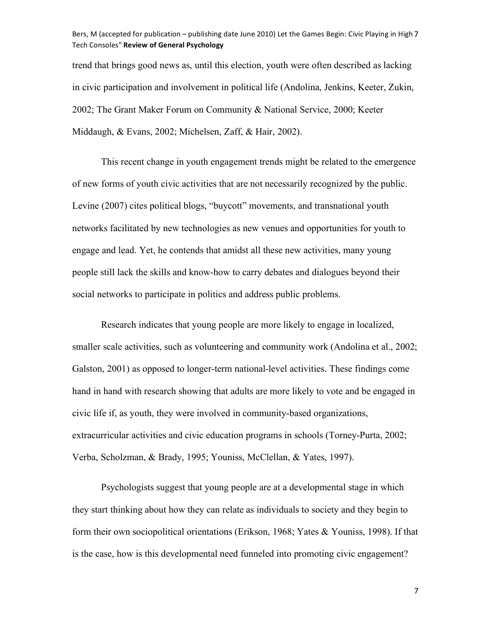### Bers, M (accepted for publication – publishing date June 2010) Let the Games Begin: Civic Playing in High 7 Tech
Consoles" **Review
of
General
Psychology**

trend that brings good news as, until this election, youth were often described as lacking in civic participation and involvement in political life (Andolina, Jenkins, Keeter, Zukin, 2002; The Grant Maker Forum on Community & National Service, 2000; Keeter Middaugh, & Evans, 2002; Michelsen, Zaff, & Hair, 2002).

This recent change in youth engagement trends might be related to the emergence of new forms of youth civic activities that are not necessarily recognized by the public. Levine (2007) cites political blogs, "buycott" movements, and transnational youth networks facilitated by new technologies as new venues and opportunities for youth to engage and lead. Yet, he contends that amidst all these new activities, many young people still lack the skills and know-how to carry debates and dialogues beyond their social networks to participate in politics and address public problems.

Research indicates that young people are more likely to engage in localized, smaller scale activities, such as volunteering and community work (Andolina et al., 2002; Galston, 2001) as opposed to longer-term national-level activities. These findings come hand in hand with research showing that adults are more likely to vote and be engaged in civic life if, as youth, they were involved in community-based organizations, extracurricular activities and civic education programs in schools (Torney-Purta, 2002; Verba, Scholzman, & Brady, 1995; Youniss, McClellan, & Yates, 1997).

Psychologists suggest that young people are at a developmental stage in which they start thinking about how they can relate as individuals to society and they begin to form their own sociopolitical orientations (Erikson, 1968; Yates & Youniss, 1998). If that is the case, how is this developmental need funneled into promoting civic engagement?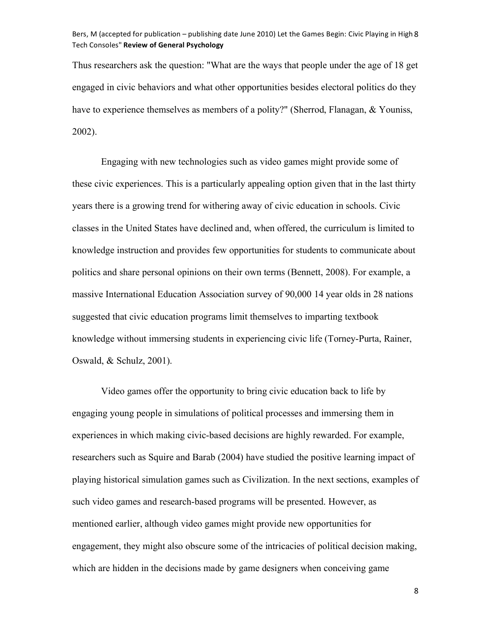## Bers, M (accepted for publication – publishing date June 2010) Let the Games Begin: Civic Playing in High 8 Tech
Consoles" **Review
of
General
Psychology**

Thus researchers ask the question: "What are the ways that people under the age of 18 get engaged in civic behaviors and what other opportunities besides electoral politics do they have to experience themselves as members of a polity?" (Sherrod, Flanagan, & Youniss, 2002).

Engaging with new technologies such as video games might provide some of these civic experiences. This is a particularly appealing option given that in the last thirty years there is a growing trend for withering away of civic education in schools. Civic classes in the United States have declined and, when offered, the curriculum is limited to knowledge instruction and provides few opportunities for students to communicate about politics and share personal opinions on their own terms (Bennett, 2008). For example, a massive International Education Association survey of 90,000 14 year olds in 28 nations suggested that civic education programs limit themselves to imparting textbook knowledge without immersing students in experiencing civic life (Torney-Purta, Rainer, Oswald, & Schulz, 2001).

Video games offer the opportunity to bring civic education back to life by engaging young people in simulations of political processes and immersing them in experiences in which making civic-based decisions are highly rewarded. For example, researchers such as Squire and Barab (2004) have studied the positive learning impact of playing historical simulation games such as Civilization. In the next sections, examples of such video games and research-based programs will be presented. However, as mentioned earlier, although video games might provide new opportunities for engagement, they might also obscure some of the intricacies of political decision making, which are hidden in the decisions made by game designers when conceiving game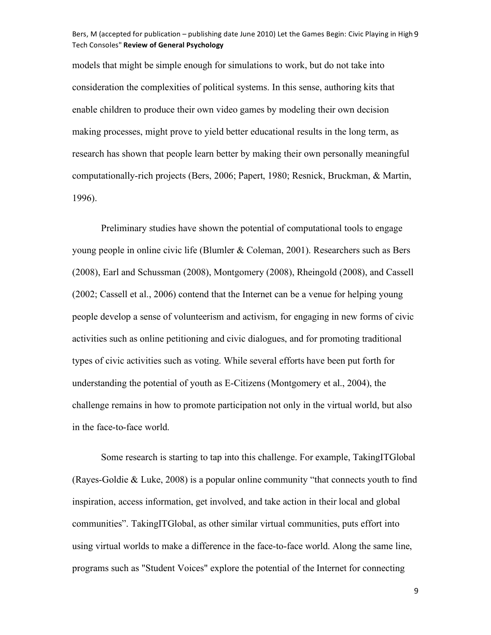## Bers, M (accepted for publication – publishing date June 2010) Let the Games Begin: Civic Playing in High 9 Tech
Consoles" **Review
of
General
Psychology**

models that might be simple enough for simulations to work, but do not take into consideration the complexities of political systems. In this sense, authoring kits that enable children to produce their own video games by modeling their own decision making processes, might prove to yield better educational results in the long term, as research has shown that people learn better by making their own personally meaningful computationally-rich projects (Bers, 2006; Papert, 1980; Resnick, Bruckman, & Martin, 1996).

Preliminary studies have shown the potential of computational tools to engage young people in online civic life (Blumler & Coleman, 2001). Researchers such as Bers (2008), Earl and Schussman (2008), Montgomery (2008), Rheingold (2008), and Cassell (2002; Cassell et al., 2006) contend that the Internet can be a venue for helping young people develop a sense of volunteerism and activism, for engaging in new forms of civic activities such as online petitioning and civic dialogues, and for promoting traditional types of civic activities such as voting. While several efforts have been put forth for understanding the potential of youth as E-Citizens (Montgomery et al., 2004), the challenge remains in how to promote participation not only in the virtual world, but also in the face-to-face world.

Some research is starting to tap into this challenge. For example, TakingITGlobal (Rayes-Goldie & Luke, 2008) is a popular online community "that connects youth to find inspiration, access information, get involved, and take action in their local and global communities". TakingITGlobal, as other similar virtual communities, puts effort into using virtual worlds to make a difference in the face-to-face world. Along the same line, programs such as "Student Voices" explore the potential of the Internet for connecting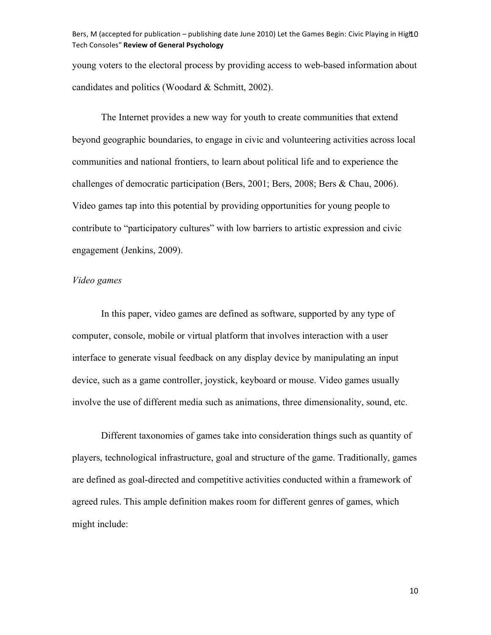Bers, M (accepted for publication – publishing date June 2010) Let the Games Begin: Civic Playing in High O Tech
Consoles" **Review
of
General
Psychology**

young voters to the electoral process by providing access to web-based information about candidates and politics (Woodard & Schmitt, 2002).

The Internet provides a new way for youth to create communities that extend beyond geographic boundaries, to engage in civic and volunteering activities across local communities and national frontiers, to learn about political life and to experience the challenges of democratic participation (Bers, 2001; Bers, 2008; Bers & Chau, 2006). Video games tap into this potential by providing opportunities for young people to contribute to "participatory cultures" with low barriers to artistic expression and civic engagement (Jenkins, 2009).

## *Video games*

In this paper, video games are defined as software, supported by any type of computer, console, mobile or virtual platform that involves interaction with a user interface to generate visual feedback on any display device by manipulating an input device, such as a game controller, joystick, keyboard or mouse. Video games usually involve the use of different media such as animations, three dimensionality, sound, etc.

Different taxonomies of games take into consideration things such as quantity of players, technological infrastructure, goal and structure of the game. Traditionally, games are defined as goal-directed and competitive activities conducted within a framework of agreed rules. This ample definition makes room for different genres of games, which might include: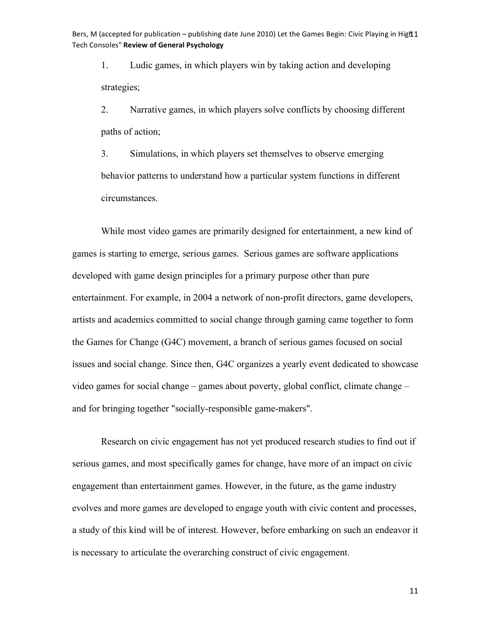Bers, M (accepted for publication – publishing date June 2010) Let the Games Begin: Civic Playing in High 1 Tech
Consoles" **Review
of
General
Psychology**

1. Ludic games, in which players win by taking action and developing strategies;

2. Narrative games, in which players solve conflicts by choosing different paths of action;

3. Simulations, in which players set themselves to observe emerging behavior patterns to understand how a particular system functions in different circumstances.

While most video games are primarily designed for entertainment, a new kind of games is starting to emerge, serious games. Serious games are software applications developed with game design principles for a primary purpose other than pure entertainment. For example, in 2004 a network of non-profit directors, game developers, artists and academics committed to social change through gaming came together to form the Games for Change (G4C) movement, a branch of serious games focused on social issues and social change. Since then, G4C organizes a yearly event dedicated to showcase video games for social change – games about poverty, global conflict, climate change – and for bringing together "socially-responsible game-makers".

Research on civic engagement has not yet produced research studies to find out if serious games, and most specifically games for change, have more of an impact on civic engagement than entertainment games. However, in the future, as the game industry evolves and more games are developed to engage youth with civic content and processes, a study of this kind will be of interest. However, before embarking on such an endeavor it is necessary to articulate the overarching construct of civic engagement.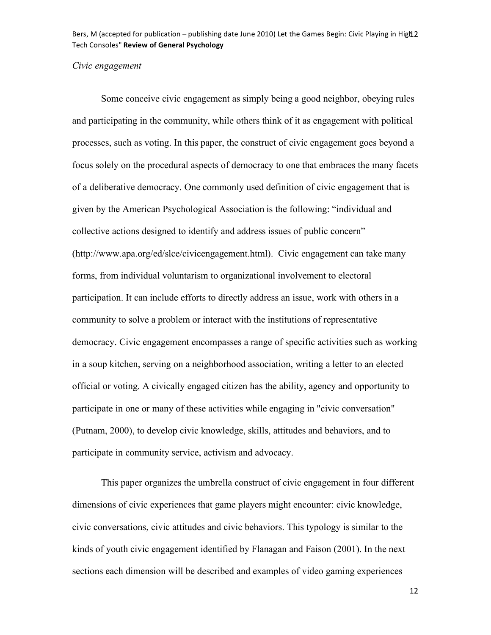Bers, M (accepted for publication – publishing date June 2010) Let the Games Begin: Civic Playing in High 2 Tech
Consoles" **Review
of
General
Psychology**

## *Civic engagement*

Some conceive civic engagement as simply being a good neighbor, obeying rules and participating in the community, while others think of it as engagement with political processes, such as voting. In this paper, the construct of civic engagement goes beyond a focus solely on the procedural aspects of democracy to one that embraces the many facets of a deliberative democracy. One commonly used definition of civic engagement that is given by the American Psychological Association is the following: "individual and collective actions designed to identify and address issues of public concern" (http://www.apa.org/ed/slce/civicengagement.html). Civic engagement can take many forms, from individual voluntarism to organizational involvement to electoral participation. It can include efforts to directly address an issue, work with others in a community to solve a problem or interact with the institutions of representative democracy. Civic engagement encompasses a range of specific activities such as working in a soup kitchen, serving on a neighborhood association, writing a letter to an elected official or voting. A civically engaged citizen has the ability, agency and opportunity to participate in one or many of these activities while engaging in "civic conversation" (Putnam, 2000), to develop civic knowledge, skills, attitudes and behaviors, and to participate in community service, activism and advocacy.

This paper organizes the umbrella construct of civic engagement in four different dimensions of civic experiences that game players might encounter: civic knowledge, civic conversations, civic attitudes and civic behaviors. This typology is similar to the kinds of youth civic engagement identified by Flanagan and Faison (2001). In the next sections each dimension will be described and examples of video gaming experiences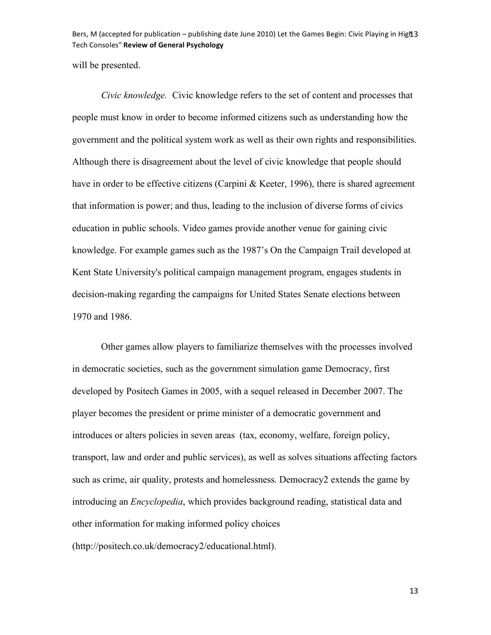Bers, M (accepted for publication – publishing date June 2010) Let the Games Begin: Civic Playing in High 3 Tech
Consoles" **Review
of
General
Psychology**

will be presented.

*Civic knowledge.* Civic knowledge refers to the set of content and processes that people must know in order to become informed citizens such as understanding how the government and the political system work as well as their own rights and responsibilities. Although there is disagreement about the level of civic knowledge that people should have in order to be effective citizens (Carpini & Keeter, 1996), there is shared agreement that information is power; and thus, leading to the inclusion of diverse forms of civics education in public schools. Video games provide another venue for gaining civic knowledge. For example games such as the 1987's On the Campaign Trail developed at Kent State University's political campaign management program, engages students in decision-making regarding the campaigns for United States Senate elections between 1970 and 1986.

Other games allow players to familiarize themselves with the processes involved in democratic societies, such as the government simulation game Democracy, first developed by Positech Games in 2005, with a sequel released in December 2007. The player becomes the president or prime minister of a democratic government and introduces or alters policies in seven areas (tax, economy, welfare, foreign policy, transport, law and order and public services), as well as solves situations affecting factors such as crime, air quality, protests and homelessness. Democracy2 extends the game by introducing an *Encyclopedia*, which provides background reading, statistical data and other information for making informed policy choices

(http://positech.co.uk/democracy2/educational.html).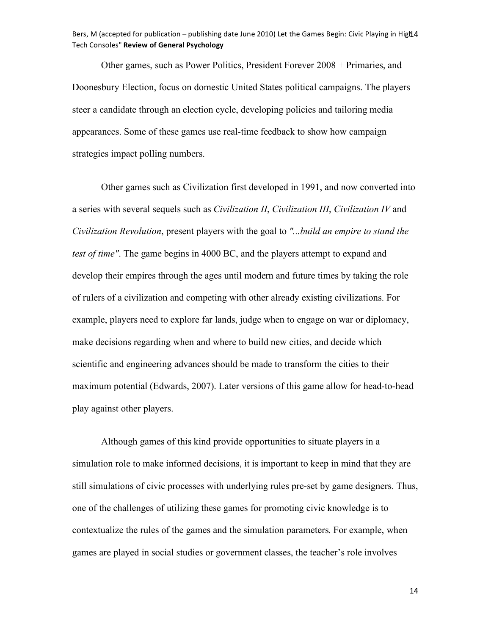Other games, such as Power Politics, President Forever 2008 + Primaries, and Doonesbury Election, focus on domestic United States political campaigns. The players steer a candidate through an election cycle, developing policies and tailoring media appearances. Some of these games use real-time feedback to show how campaign strategies impact polling numbers.

Other games such as Civilization first developed in 1991, and now converted into a series with several sequels such as *Civilization II*, *Civilization III*, *Civilization IV* and *Civilization Revolution*, present players with the goal to *"...build an empire to stand the test of time"*. The game begins in 4000 BC, and the players attempt to expand and develop their empires through the ages until modern and future times by taking the role of rulers of a civilization and competing with other already existing civilizations. For example, players need to explore far lands, judge when to engage on war or diplomacy, make decisions regarding when and where to build new cities, and decide which scientific and engineering advances should be made to transform the cities to their maximum potential (Edwards, 2007). Later versions of this game allow for head-to-head play against other players.

Although games of this kind provide opportunities to situate players in a simulation role to make informed decisions, it is important to keep in mind that they are still simulations of civic processes with underlying rules pre-set by game designers. Thus, one of the challenges of utilizing these games for promoting civic knowledge is to contextualize the rules of the games and the simulation parameters. For example, when games are played in social studies or government classes, the teacher's role involves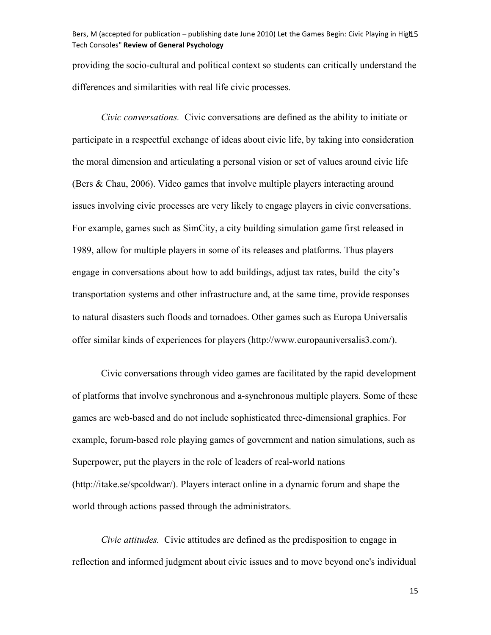Bers, M (accepted for publication – publishing date June 2010) Let the Games Begin: Civic Playing in High 5 Tech
Consoles" **Review
of
General
Psychology**

providing the socio-cultural and political context so students can critically understand the differences and similarities with real life civic processes.

*Civic conversations.* Civic conversations are defined as the ability to initiate or participate in a respectful exchange of ideas about civic life, by taking into consideration the moral dimension and articulating a personal vision or set of values around civic life (Bers & Chau, 2006). Video games that involve multiple players interacting around issues involving civic processes are very likely to engage players in civic conversations. For example, games such as SimCity, a city building simulation game first released in 1989, allow for multiple players in some of its releases and platforms. Thus players engage in conversations about how to add buildings, adjust tax rates, build the city's transportation systems and other infrastructure and, at the same time, provide responses to natural disasters such floods and tornadoes. Other games such as Europa Universalis offer similar kinds of experiences for players (http://www.europauniversalis3.com/).

Civic conversations through video games are facilitated by the rapid development of platforms that involve synchronous and a-synchronous multiple players. Some of these games are web-based and do not include sophisticated three-dimensional graphics. For example, forum-based role playing games of government and nation simulations, such as Superpower, put the players in the role of leaders of real-world nations (http://itake.se/spcoldwar/). Players interact online in a dynamic forum and shape the world through actions passed through the administrators.

*Civic attitudes.* Civic attitudes are defined as the predisposition to engage in reflection and informed judgment about civic issues and to move beyond one's individual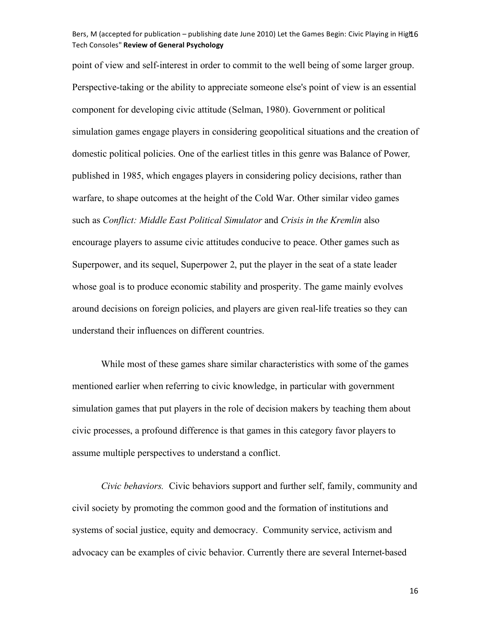## Bers, M (accepted for publication – publishing date June 2010) Let the Games Begin: Civic Playing in High 6 Tech
Consoles" **Review
of
General
Psychology**

point of view and self-interest in order to commit to the well being of some larger group. Perspective-taking or the ability to appreciate someone else's point of view is an essential component for developing civic attitude (Selman, 1980). Government or political simulation games engage players in considering geopolitical situations and the creation of domestic political policies. One of the earliest titles in this genre was Balance of Power*,* published in 1985, which engages players in considering policy decisions, rather than warfare, to shape outcomes at the height of the Cold War. Other similar video games such as *Conflict: Middle East Political Simulator* and *Crisis in the Kremlin* also encourage players to assume civic attitudes conducive to peace. Other games such as Superpower, and its sequel, Superpower 2, put the player in the seat of a state leader whose goal is to produce economic stability and prosperity. The game mainly evolves around decisions on foreign policies, and players are given real-life treaties so they can understand their influences on different countries.

While most of these games share similar characteristics with some of the games mentioned earlier when referring to civic knowledge, in particular with government simulation games that put players in the role of decision makers by teaching them about civic processes, a profound difference is that games in this category favor players to assume multiple perspectives to understand a conflict.

*Civic behaviors.* Civic behaviors support and further self, family, community and civil society by promoting the common good and the formation of institutions and systems of social justice, equity and democracy. Community service, activism and advocacy can be examples of civic behavior. Currently there are several Internet-based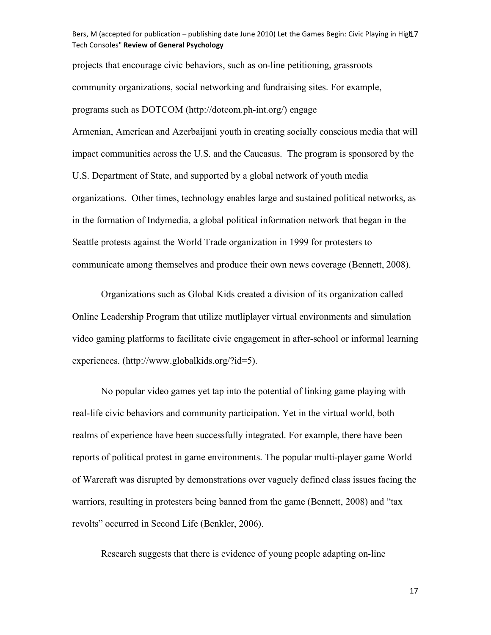## Bers, M (accepted for publication – publishing date June 2010) Let the Games Begin: Civic Playing in High 7 Tech
Consoles" **Review
of
General
Psychology**

projects that encourage civic behaviors, such as on-line petitioning, grassroots community organizations, social networking and fundraising sites. For example, programs such as DOTCOM (http://dotcom.ph-int.org/) engage

Armenian, American and Azerbaijani youth in creating socially conscious media that will impact communities across the U.S. and the Caucasus. The program is sponsored by the U.S. Department of State, and supported by a global network of youth media organizations. Other times, technology enables large and sustained political networks, as in the formation of Indymedia, a global political information network that began in the Seattle protests against the World Trade organization in 1999 for protesters to communicate among themselves and produce their own news coverage (Bennett, 2008).

Organizations such as Global Kids created a division of its organization called Online Leadership Program that utilize mutliplayer virtual environments and simulation video gaming platforms to facilitate civic engagement in after-school or informal learning experiences. (http://www.globalkids.org/?id=5).

No popular video games yet tap into the potential of linking game playing with real-life civic behaviors and community participation. Yet in the virtual world, both realms of experience have been successfully integrated. For example, there have been reports of political protest in game environments. The popular multi-player game World of Warcraft was disrupted by demonstrations over vaguely defined class issues facing the warriors, resulting in protesters being banned from the game (Bennett, 2008) and "tax revolts" occurred in Second Life (Benkler, 2006).

Research suggests that there is evidence of young people adapting on-line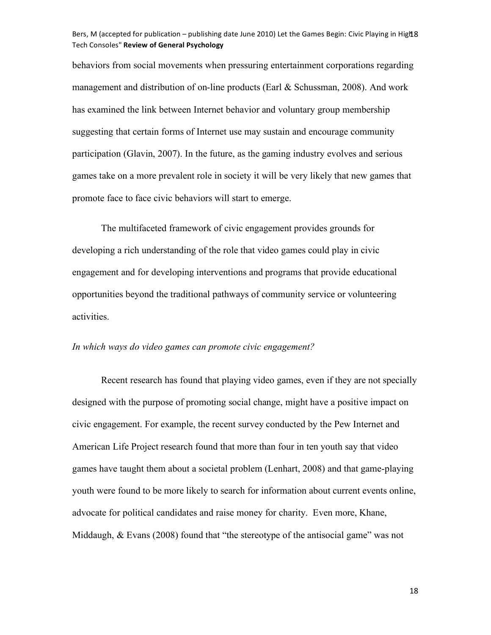### Bers, M (accepted for publication – publishing date June 2010) Let the Games Begin: Civic Playing in High 8 Tech
Consoles" **Review
of
General
Psychology**

behaviors from social movements when pressuring entertainment corporations regarding management and distribution of on-line products (Earl  $&$  Schussman, 2008). And work has examined the link between Internet behavior and voluntary group membership suggesting that certain forms of Internet use may sustain and encourage community participation (Glavin, 2007). In the future, as the gaming industry evolves and serious games take on a more prevalent role in society it will be very likely that new games that promote face to face civic behaviors will start to emerge.

The multifaceted framework of civic engagement provides grounds for developing a rich understanding of the role that video games could play in civic engagement and for developing interventions and programs that provide educational opportunities beyond the traditional pathways of community service or volunteering activities.

## *In which ways do video games can promote civic engagement?*

Recent research has found that playing video games, even if they are not specially designed with the purpose of promoting social change, might have a positive impact on civic engagement. For example, the recent survey conducted by the Pew Internet and American Life Project research found that more than four in ten youth say that video games have taught them about a societal problem (Lenhart, 2008) and that game-playing youth were found to be more likely to search for information about current events online, advocate for political candidates and raise money for charity. Even more, Khane, Middaugh, & Evans (2008) found that "the stereotype of the antisocial game" was not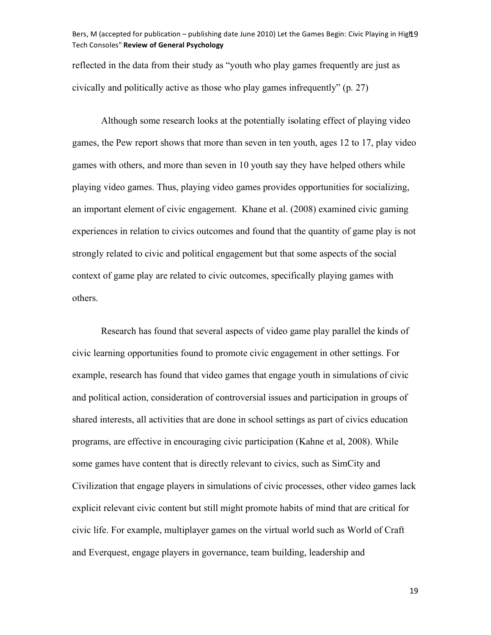## Bers, M (accepted for publication – publishing date June 2010) Let the Games Begin: Civic Playing in High 9 Tech
Consoles" **Review
of
General
Psychology**

reflected in the data from their study as "youth who play games frequently are just as civically and politically active as those who play games infrequently" (p. 27)

Although some research looks at the potentially isolating effect of playing video games, the Pew report shows that more than seven in ten youth, ages 12 to 17, play video games with others, and more than seven in 10 youth say they have helped others while playing video games. Thus, playing video games provides opportunities for socializing, an important element of civic engagement. Khane et al. (2008) examined civic gaming experiences in relation to civics outcomes and found that the quantity of game play is not strongly related to civic and political engagement but that some aspects of the social context of game play are related to civic outcomes, specifically playing games with others.

Research has found that several aspects of video game play parallel the kinds of civic learning opportunities found to promote civic engagement in other settings. For example, research has found that video games that engage youth in simulations of civic and political action, consideration of controversial issues and participation in groups of shared interests, all activities that are done in school settings as part of civics education programs, are effective in encouraging civic participation (Kahne et al, 2008). While some games have content that is directly relevant to civics, such as SimCity and Civilization that engage players in simulations of civic processes, other video games lack explicit relevant civic content but still might promote habits of mind that are critical for civic life. For example, multiplayer games on the virtual world such as World of Craft and Everquest, engage players in governance, team building, leadership and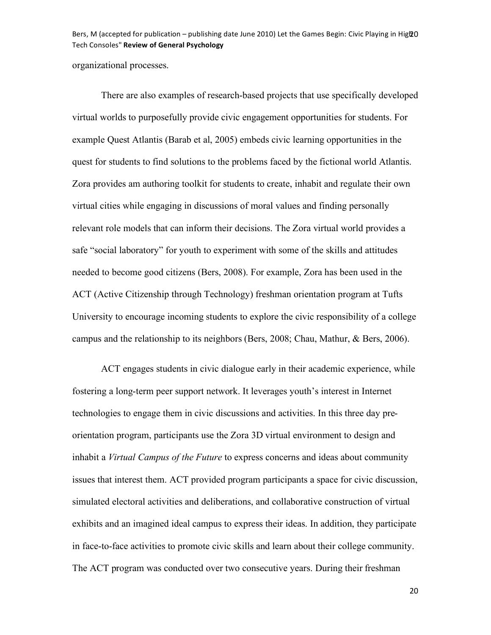Bers, M (accepted for publication – publishing date June 2010) Let the Games Begin: Civic Playing in Hig2O Tech
Consoles" **Review
of
General
Psychology**

organizational processes.

There are also examples of research-based projects that use specifically developed virtual worlds to purposefully provide civic engagement opportunities for students. For example Quest Atlantis (Barab et al, 2005) embeds civic learning opportunities in the quest for students to find solutions to the problems faced by the fictional world Atlantis. Zora provides am authoring toolkit for students to create, inhabit and regulate their own virtual cities while engaging in discussions of moral values and finding personally relevant role models that can inform their decisions. The Zora virtual world provides a safe "social laboratory" for youth to experiment with some of the skills and attitudes needed to become good citizens (Bers, 2008). For example, Zora has been used in the ACT (Active Citizenship through Technology) freshman orientation program at Tufts University to encourage incoming students to explore the civic responsibility of a college campus and the relationship to its neighbors (Bers, 2008; Chau, Mathur, & Bers, 2006).

ACT engages students in civic dialogue early in their academic experience, while fostering a long-term peer support network. It leverages youth's interest in Internet technologies to engage them in civic discussions and activities. In this three day preorientation program, participants use the Zora 3D virtual environment to design and inhabit a *Virtual Campus of the Future* to express concerns and ideas about community issues that interest them. ACT provided program participants a space for civic discussion, simulated electoral activities and deliberations, and collaborative construction of virtual exhibits and an imagined ideal campus to express their ideas. In addition, they participate in face-to-face activities to promote civic skills and learn about their college community. The ACT program was conducted over two consecutive years. During their freshman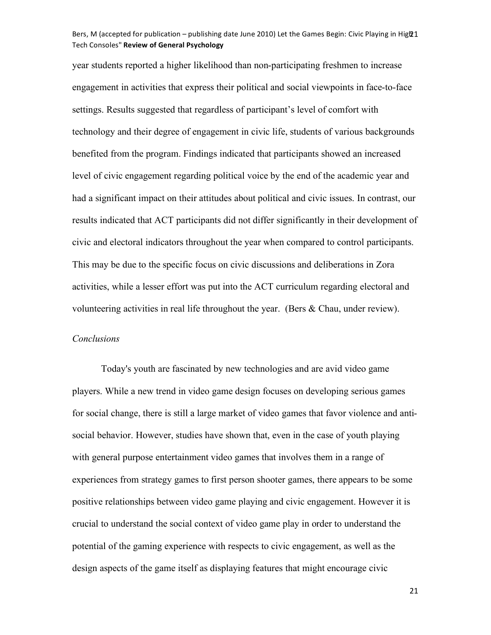## Bers, M (accepted for publication – publishing date June 2010) Let the Games Begin: Civic Playing in Hig221 Tech
Consoles" **Review
of
General
Psychology**

year students reported a higher likelihood than non-participating freshmen to increase engagement in activities that express their political and social viewpoints in face-to-face settings. Results suggested that regardless of participant's level of comfort with technology and their degree of engagement in civic life, students of various backgrounds benefited from the program. Findings indicated that participants showed an increased level of civic engagement regarding political voice by the end of the academic year and had a significant impact on their attitudes about political and civic issues. In contrast, our results indicated that ACT participants did not differ significantly in their development of civic and electoral indicators throughout the year when compared to control participants. This may be due to the specific focus on civic discussions and deliberations in Zora activities, while a lesser effort was put into the ACT curriculum regarding electoral and volunteering activities in real life throughout the year. (Bers & Chau, under review).

## *Conclusions*

Today's youth are fascinated by new technologies and are avid video game players. While a new trend in video game design focuses on developing serious games for social change, there is still a large market of video games that favor violence and antisocial behavior. However, studies have shown that, even in the case of youth playing with general purpose entertainment video games that involves them in a range of experiences from strategy games to first person shooter games, there appears to be some positive relationships between video game playing and civic engagement. However it is crucial to understand the social context of video game play in order to understand the potential of the gaming experience with respects to civic engagement, as well as the design aspects of the game itself as displaying features that might encourage civic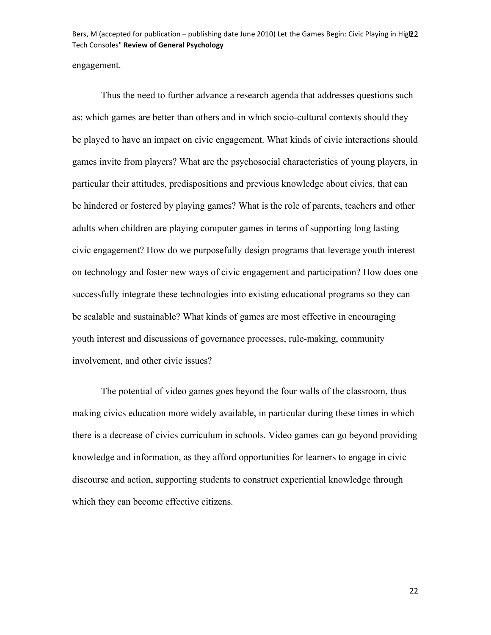Bers, M (accepted for publication – publishing date June 2010) Let the Games Begin: Civic Playing in Hig22 Tech
Consoles" **Review
of
General
Psychology**

engagement.

Thus the need to further advance a research agenda that addresses questions such as: which games are better than others and in which socio-cultural contexts should they be played to have an impact on civic engagement. What kinds of civic interactions should games invite from players? What are the psychosocial characteristics of young players, in particular their attitudes, predispositions and previous knowledge about civics, that can be hindered or fostered by playing games? What is the role of parents, teachers and other adults when children are playing computer games in terms of supporting long lasting civic engagement? How do we purposefully design programs that leverage youth interest on technology and foster new ways of civic engagement and participation? How does one successfully integrate these technologies into existing educational programs so they can be scalable and sustainable? What kinds of games are most effective in encouraging youth interest and discussions of governance processes, rule-making, community involvement, and other civic issues?

The potential of video games goes beyond the four walls of the classroom, thus making civics education more widely available, in particular during these times in which there is a decrease of civics curriculum in schools. Video games can go beyond providing knowledge and information, as they afford opportunities for learners to engage in civic discourse and action, supporting students to construct experiential knowledge through which they can become effective citizens.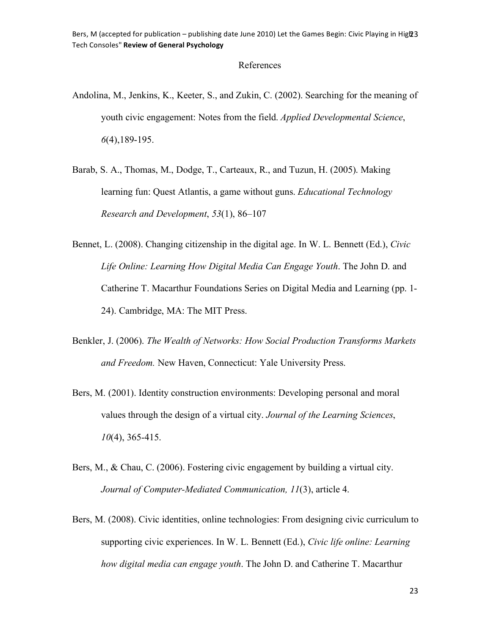# References

- Andolina, M., Jenkins, K., Keeter, S., and Zukin, C. (2002). Searching for the meaning of youth civic engagement: Notes from the field. *Applied Developmental Science*, *6*(4),189-195.
- Barab, S. A., Thomas, M., Dodge, T., Carteaux, R., and Tuzun, H. (2005). Making learning fun: Quest Atlantis, a game without guns. *Educational Technology Research and Development*, *53*(1), 86–107
- Bennet, L. (2008). Changing citizenship in the digital age. In W. L. Bennett (Ed.), *Civic Life Online: Learning How Digital Media Can Engage Youth*. The John D. and Catherine T. Macarthur Foundations Series on Digital Media and Learning (pp. 1- 24). Cambridge, MA: The MIT Press.
- Benkler, J. (2006). *The Wealth of Networks: How Social Production Transforms Markets and Freedom.* New Haven, Connecticut: Yale University Press.
- Bers, M. (2001). Identity construction environments: Developing personal and moral values through the design of a virtual city. *Journal of the Learning Sciences*, *10*(4), 365-415.
- Bers, M., & Chau, C. (2006). Fostering civic engagement by building a virtual city. *Journal of Computer-Mediated Communication, 11*(3), article 4.
- Bers, M. (2008). Civic identities, online technologies: From designing civic curriculum to supporting civic experiences. In W. L. Bennett (Ed.), *Civic life online: Learning how digital media can engage youth*. The John D. and Catherine T. Macarthur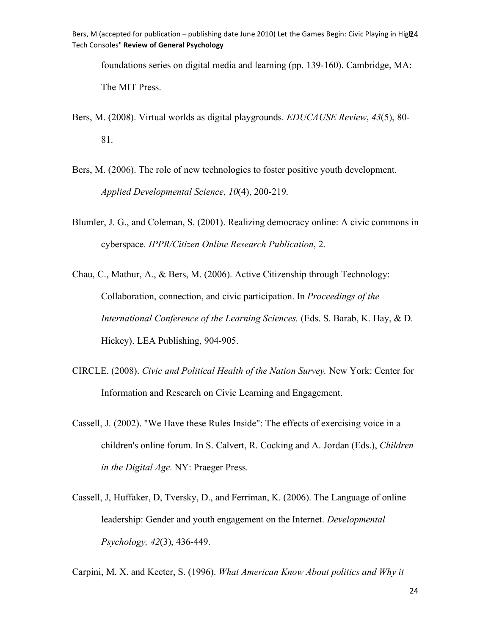Bers, M (accepted for publication – publishing date June 2010) Let the Games Begin: Civic Playing in Hig24 Tech
Consoles" **Review
of
General
Psychology**

foundations series on digital media and learning (pp. 139-160). Cambridge, MA: The MIT Press.

- Bers, M. (2008). Virtual worlds as digital playgrounds. *EDUCAUSE Review*, *43*(5), 80- 81.
- Bers, M. (2006). The role of new technologies to foster positive youth development. *Applied Developmental Science*, *10*(4), 200-219.
- Blumler, J. G., and Coleman, S. (2001). Realizing democracy online: A civic commons in cyberspace. *IPPR/Citizen Online Research Publication*, 2.
- Chau, C., Mathur, A., & Bers, M. (2006). Active Citizenship through Technology: Collaboration, connection, and civic participation. In *Proceedings of the International Conference of the Learning Sciences.* (Eds. S. Barab, K. Hay, & D. Hickey). LEA Publishing, 904-905.
- CIRCLE. (2008). *Civic and Political Health of the Nation Survey.* New York: Center for Information and Research on Civic Learning and Engagement.
- Cassell, J. (2002). "We Have these Rules Inside": The effects of exercising voice in a children's online forum. In S. Calvert, R. Cocking and A. Jordan (Eds.), *Children in the Digital Age*. NY: Praeger Press.
- Cassell, J, Huffaker, D, Tversky, D., and Ferriman, K. (2006). The Language of online leadership: Gender and youth engagement on the Internet. *Developmental Psychology, 42*(3), 436-449.

Carpini, M. X. and Keeter, S. (1996). *What American Know About politics and Why it*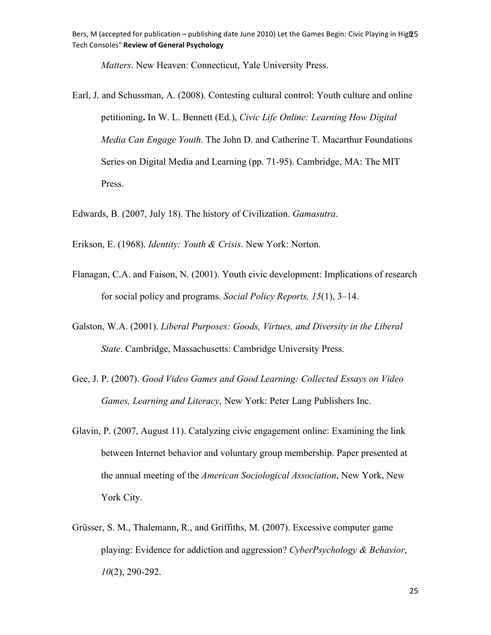*Matters*. New Heaven: Connecticut, Yale University Press.

Earl, J. and Schussman, A. (2008). Contesting cultural control: Youth culture and online petitioning**.** In W. L. Bennett (Ed.), *Civic Life Online: Learning How Digital Media Can Engage Youth*. The John D. and Catherine T. Macarthur Foundations Series on Digital Media and Learning (pp. 71-95). Cambridge, MA: The MIT Press.

Edwards, B. (2007, July 18). The history of Civilization. *Gamasutra*.

Erikson, E. (1968). *Identity: Youth & Crisis*. New York: Norton.

- Flanagan, C.A. and Faison, N. (2001). Youth civic development: Implications of research for social policy and programs. *Social Policy Reports, 15*(1), 3–14.
- Galston, W.A. (2001). *Liberal Purposes: Goods, Virtues, and Diversity in the Liberal State*. Cambridge, Massachusetts: Cambridge University Press.
- Gee, J. P. (2007). *Good Video Games and Good Learning: Collected Essays on Video Games, Learning and Literacy*, New York: Peter Lang Publishers Inc.
- Glavin, P. (2007, August 11). Catalyzing civic engagement online: Examining the link between Internet behavior and voluntary group membership. Paper presented at the annual meeting of the *American Sociological Association*, New York, New York City.
- Grüsser, S. M., Thalemann, R., and Griffiths, M. (2007). Excessive computer game playing: Evidence for addiction and aggression? *CyberPsychology & Behavior*, *10*(2), 290-292.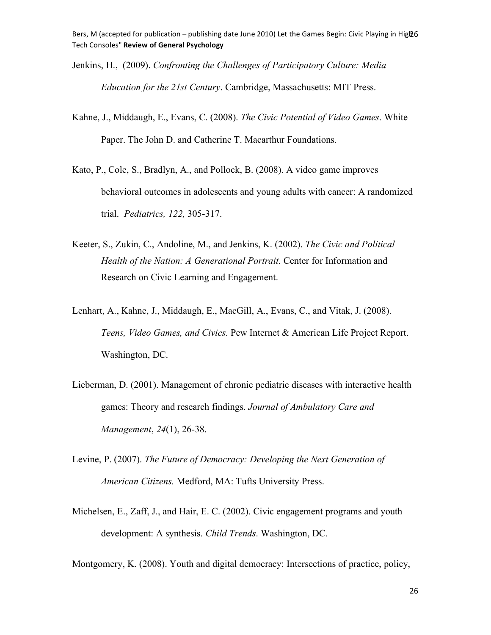- Jenkins, H., (2009). *Confronting the Challenges of Participatory Culture: Media Education for the 21st Century*. Cambridge, Massachusetts: MIT Press.
- Kahne, J., Middaugh, E., Evans, C. (2008). *The Civic Potential of Video Games*. White Paper. The John D. and Catherine T. Macarthur Foundations.
- Kato, P., Cole, S., Bradlyn, A., and Pollock, B. (2008). A video game improves behavioral outcomes in adolescents and young adults with cancer: A randomized trial. *Pediatrics, 122,* 305-317.
- Keeter, S., Zukin, C., Andoline, M., and Jenkins, K. (2002). *The Civic and Political Health of the Nation: A Generational Portrait.* Center for Information and Research on Civic Learning and Engagement.
- Lenhart, A., Kahne, J., Middaugh, E., MacGill, A., Evans, C., and Vitak, J. (2008). *Teens, Video Games, and Civics*. Pew Internet & American Life Project Report. Washington, DC.
- Lieberman, D. (2001). Management of chronic pediatric diseases with interactive health games: Theory and research findings. *Journal of Ambulatory Care and Management*, *24*(1), 26-38.
- Levine, P. (2007). *The Future of Democracy: Developing the Next Generation of American Citizens.* Medford, MA: Tufts University Press.
- Michelsen, E., Zaff, J., and Hair, E. C. (2002). Civic engagement programs and youth development: A synthesis. *Child Trends*. Washington, DC.

Montgomery, K. (2008). Youth and digital democracy: Intersections of practice, policy,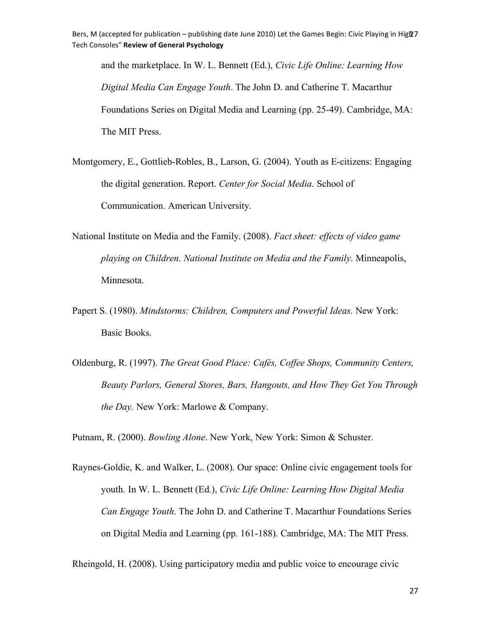and the marketplace. In W. L. Bennett (Ed.), *Civic Life Online: Learning How Digital Media Can Engage Youth*. The John D. and Catherine T. Macarthur Foundations Series on Digital Media and Learning (pp. 25-49). Cambridge, MA: The MIT Press.

Montgomery, E., Gottlieb-Robles, B., Larson, G. (2004). Youth as E-citizens: Engaging the digital generation. Report. *Center for Social Media*. School of Communication. American University.

- National Institute on Media and the Family. (2008). *Fact sheet: effects of video game playing on Children*. *National Institute on Media and the Family*. Minneapolis, Minnesota.
- Papert S. (1980). *Mindstorms: Children, Computers and Powerful Ideas*. New York: Basic Books.
- Oldenburg, R. (1997). *The Great Good Place: Cafés, Coffee Shops, Community Centers, Beauty Parlors, General Stores, Bars, Hangouts, and How They Get You Through the Day.* New York: Marlowe & Company.

Putnam, R. (2000). *Bowling Alone*. New York, New York: Simon & Schuster.

Raynes-Goldie, K. and Walker, L. (2008). Our space: Online civic engagement tools for youth. In W. L. Bennett (Ed.), *Civic Life Online: Learning How Digital Media Can Engage Youth*. The John D. and Catherine T. Macarthur Foundations Series on Digital Media and Learning (pp. 161-188). Cambridge, MA: The MIT Press.

Rheingold, H. (2008). Using participatory media and public voice to encourage civic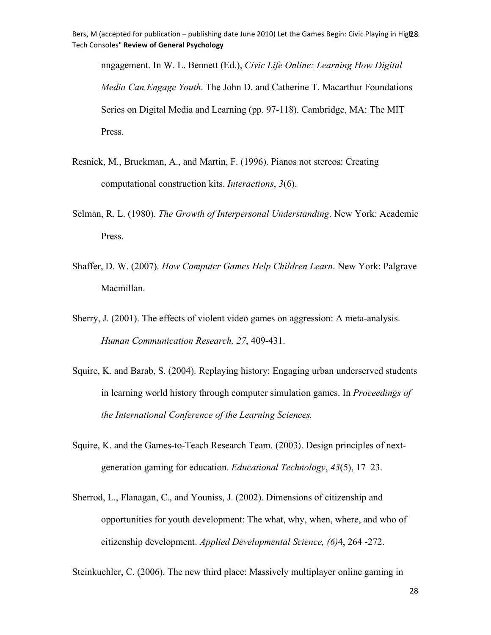nngagement. In W. L. Bennett (Ed.), *Civic Life Online: Learning How Digital Media Can Engage Youth*. The John D. and Catherine T. Macarthur Foundations Series on Digital Media and Learning (pp. 97-118). Cambridge, MA: The MIT Press.

- Resnick, M., Bruckman, A., and Martin, F. (1996). Pianos not stereos: Creating computational construction kits. *Interactions*, *3*(6).
- Selman, R. L. (1980). *The Growth of Interpersonal Understanding*. New York: Academic Press.
- Shaffer, D. W. (2007). *How Computer Games Help Children Learn*. New York: Palgrave Macmillan.
- Sherry, J. (2001). The effects of violent video games on aggression: A meta-analysis. *Human Communication Research, 27*, 409-431.
- Squire, K. and Barab, S. (2004). Replaying history: Engaging urban underserved students in learning world history through computer simulation games. In *Proceedings of the International Conference of the Learning Sciences.*
- Squire, K. and the Games-to-Teach Research Team. (2003). Design principles of nextgeneration gaming for education. *Educational Technology*, *43*(5), 17–23.
- Sherrod, L., Flanagan, C., and Youniss, J. (2002). Dimensions of citizenship and opportunities for youth development: The what, why, when, where, and who of citizenship development. *Applied Developmental Science, (6)*4, 264 -272.

Steinkuehler, C. (2006). The new third place: Massively multiplayer online gaming in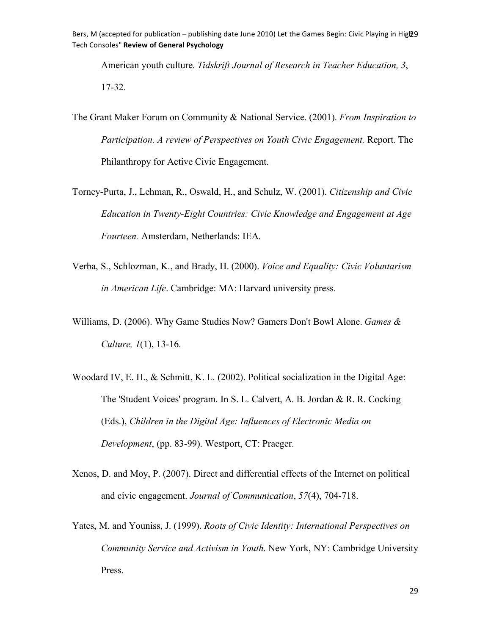Bers, M (accepted for publication – publishing date June 2010) Let the Games Begin: Civic Playing in Hig229 Tech
Consoles" **Review
of
General
Psychology**

American youth culture. *Tidskrift Journal of Research in Teacher Education, 3*, 17-32.

- The Grant Maker Forum on Community & National Service. (2001). *From Inspiration to Participation. A review of Perspectives on Youth Civic Engagement.* Report. The Philanthropy for Active Civic Engagement.
- Torney-Purta, J., Lehman, R., Oswald, H., and Schulz, W. (2001). *Citizenship and Civic Education in Twenty-Eight Countries: Civic Knowledge and Engagement at Age Fourteen.* Amsterdam, Netherlands: IEA.
- Verba, S., Schlozman, K., and Brady, H. (2000). *Voice and Equality: Civic Voluntarism in American Life*. Cambridge: MA: Harvard university press.
- Williams, D. (2006). Why Game Studies Now? Gamers Don't Bowl Alone. *Games & Culture, 1*(1), 13-16.
- Woodard IV, E. H., & Schmitt, K. L. (2002). Political socialization in the Digital Age: The 'Student Voices' program. In S. L. Calvert, A. B. Jordan & R. R. Cocking (Eds.), *Children in the Digital Age: Influences of Electronic Media on Development*, (pp. 83-99). Westport, CT: Praeger.
- Xenos, D. and Moy, P. (2007). Direct and differential effects of the Internet on political and civic engagement. *Journal of Communication*, *57*(4), 704-718.
- Yates, M. and Youniss, J. (1999). *Roots of Civic Identity: International Perspectives on Community Service and Activism in Youth*. New York, NY: Cambridge University Press.